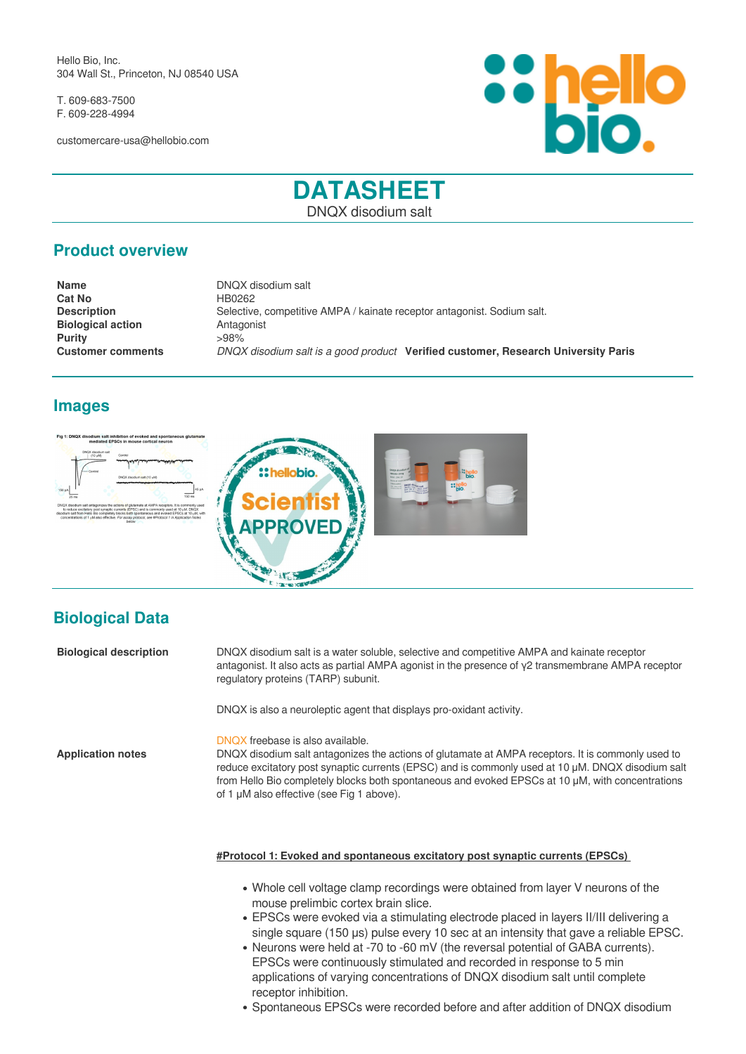Hello Bio, Inc. 304 Wall St., Princeton, NJ 08540 USA

T. 609-683-7500 F. 609-228-4994

customercare-usa@hellobio.com



# **DATASHEET** DNQX disodium salt

## **Product overview**

**Name** DNQX disodium salt **Cat No** HB0262 **Description** Selective, competitive AMPA / kainate receptor antagonist. Sodium salt. **Biological action Antagonist Purity** >98% **Customer comments** *DNQX disodium salt is a good product* **Verified customer, Research University Paris**

## **Images**





# **Biological Data**

| <b>Biological description</b> | DNQX disodium salt is a water soluble, selective and competitive AMPA and kainate receptor<br>antagonist. It also acts as partial AMPA agonist in the presence of $\gamma$ 2 transmembrane AMPA receptor<br>regulatory proteins (TARP) subunit.                                                                                                                                             |
|-------------------------------|---------------------------------------------------------------------------------------------------------------------------------------------------------------------------------------------------------------------------------------------------------------------------------------------------------------------------------------------------------------------------------------------|
|                               | DNQX is also a neuroleptic agent that displays pro-oxidant activity.                                                                                                                                                                                                                                                                                                                        |
| <b>Application notes</b>      | DNOX freebase is also available.<br>DNQX disodium salt antagonizes the actions of glutamate at AMPA receptors. It is commonly used to<br>reduce excitatory post synaptic currents (EPSC) and is commonly used at 10 µM. DNQX disodium salt<br>from Hello Bio completely blocks both spontaneous and evoked EPSCs at 10 µM, with concentrations<br>of 1 µM also effective (see Fig 1 above). |

**#Protocol 1: Evoked and spontaneous excitatory post synaptic currents (EPSCs)** 

- Whole cell voltage clamp recordings were obtained from layer V neurons of the mouse prelimbic cortex brain slice.
- EPSCs were evoked via a stimulating electrode placed in layers II/III delivering a single square (150 μs) pulse every 10 sec at an intensity that gave a reliable EPSC.
- Neurons were held at -70 to -60 mV (the reversal potential of GABA currents). EPSCs were continuously stimulated and recorded in response to 5 min applications of varying concentrations of DNQX disodium salt until complete receptor inhibition.
- Spontaneous EPSCs were recorded before and after addition of DNQX disodium